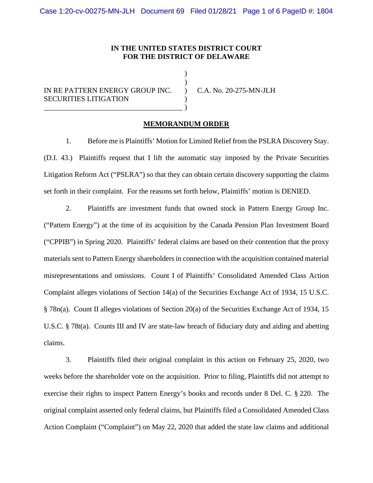## **IN THE UNITED STATES DISTRICT COURT FOR THE DISTRICT OF DELAWARE**

) )  $\lambda$ ) )

IN RE PATTERN ENERGY GROUP INC. SECURITIES LITIGATION \_\_\_\_\_\_\_\_\_\_\_\_\_\_\_\_\_\_\_\_\_\_\_\_\_\_\_\_\_\_\_\_\_\_\_\_\_\_

C.A. No. 20-275-MN-JLH

## **MEMORANDUM ORDER**

1. Before me is Plaintiffs' Motion for Limited Relief from the PSLRA Discovery Stay. (D.I. 43.) Plaintiffs request that I lift the automatic stay imposed by the Private Securities Litigation Reform Act ("PSLRA") so that they can obtain certain discovery supporting the claims set forth in their complaint. For the reasons set forth below, Plaintiffs' motion is DENIED.

2. Plaintiffs are investment funds that owned stock in Pattern Energy Group Inc. ("Pattern Energy") at the time of its acquisition by the Canada Pension Plan Investment Board ("CPPIB") in Spring 2020. Plaintiffs' federal claims are based on their contention that the proxy materials sent to Pattern Energy shareholders in connection with the acquisition contained material misrepresentations and omissions. Count I of Plaintiffs' Consolidated Amended Class Action Complaint alleges violations of Section 14(a) of the Securities Exchange Act of 1934, 15 U.S.C. § 78n(a). Count II alleges violations of Section 20(a) of the Securities Exchange Act of 1934, 15 U.S.C. § 78t(a). Counts III and IV are state-law breach of fiduciary duty and aiding and abetting claims.

3. Plaintiffs filed their original complaint in this action on February 25, 2020, two weeks before the shareholder vote on the acquisition. Prior to filing, Plaintiffs did not attempt to exercise their rights to inspect Pattern Energy's books and records under 8 Del. C. § 220. The original complaint asserted only federal claims, but Plaintiffs filed a Consolidated Amended Class Action Complaint ("Complaint") on May 22, 2020 that added the state law claims and additional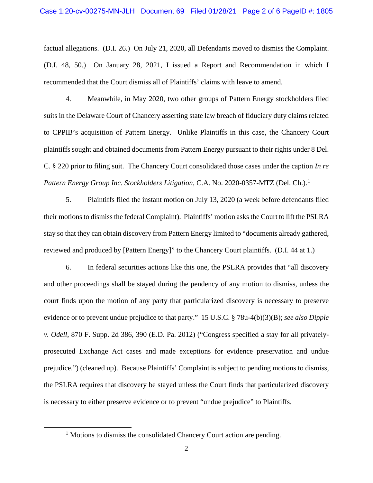factual allegations. (D.I. 26.) On July 21, 2020, all Defendants moved to dismiss the Complaint. (D.I. 48, 50.) On January 28, 2021, I issued a Report and Recommendation in which I recommended that the Court dismiss all of Plaintiffs' claims with leave to amend.

4. Meanwhile, in May 2020, two other groups of Pattern Energy stockholders filed suits in the Delaware Court of Chancery asserting state law breach of fiduciary duty claims related to CPPIB's acquisition of Pattern Energy. Unlike Plaintiffs in this case, the Chancery Court plaintiffs sought and obtained documents from Pattern Energy pursuant to their rights under 8 Del. C. § 220 prior to filing suit. The Chancery Court consolidated those cases under the caption *In re Pattern Energy Group Inc. Stockholders Litigation*, C.A. No. 2020-0357-MTZ (Del. Ch.). [1](#page-1-0)

5. Plaintiffs filed the instant motion on July 13, 2020 (a week before defendants filed their motions to dismiss the federal Complaint). Plaintiffs' motion asks the Court to lift the PSLRA stay so that they can obtain discovery from Pattern Energy limited to "documents already gathered, reviewed and produced by [Pattern Energy]" to the Chancery Court plaintiffs. (D.I. 44 at 1.)

6. In federal securities actions like this one, the PSLRA provides that "all discovery and other proceedings shall be stayed during the pendency of any motion to dismiss, unless the court finds upon the motion of any party that particularized discovery is necessary to preserve evidence or to prevent undue prejudice to that party." 15 U.S.C. § 78u-4(b)(3)(B); *see also Dipple v. Odell*, 870 F. Supp. 2d 386, 390 (E.D. Pa. 2012) ("Congress specified a stay for all privatelyprosecuted Exchange Act cases and made exceptions for evidence preservation and undue prejudice.") (cleaned up). Because Plaintiffs' Complaint is subject to pending motions to dismiss, the PSLRA requires that discovery be stayed unless the Court finds that particularized discovery is necessary to either preserve evidence or to prevent "undue prejudice" to Plaintiffs.

<span id="page-1-0"></span><sup>&</sup>lt;sup>1</sup> Motions to dismiss the consolidated Chancery Court action are pending.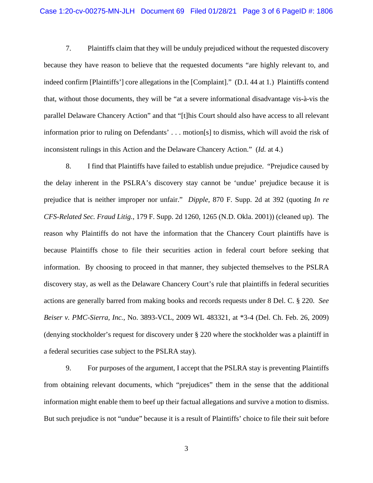7. Plaintiffs claim that they will be unduly prejudiced without the requested discovery because they have reason to believe that the requested documents "are highly relevant to, and indeed confirm [Plaintiffs'] core allegations in the [Complaint]." (D.I. 44 at 1.) Plaintiffs contend that, without those documents, they will be "at a severe informational disadvantage vis-à-vis the parallel Delaware Chancery Action" and that "[t]his Court should also have access to all relevant information prior to ruling on Defendants' . . . motion[s] to dismiss, which will avoid the risk of inconsistent rulings in this Action and the Delaware Chancery Action." (*Id.* at 4.)

8. I find that Plaintiffs have failed to establish undue prejudice. "Prejudice caused by the delay inherent in the PSLRA's discovery stay cannot be 'undue' prejudice because it is prejudice that is neither improper nor unfair." *Dipple*, 870 F. Supp. 2d at 392 (quoting *In re CFS-Related Sec. Fraud Litig.*, 179 F. Supp. 2d 1260, 1265 (N.D. Okla. 2001)) (cleaned up). The reason why Plaintiffs do not have the information that the Chancery Court plaintiffs have is because Plaintiffs chose to file their securities action in federal court before seeking that information. By choosing to proceed in that manner, they subjected themselves to the PSLRA discovery stay, as well as the Delaware Chancery Court's rule that plaintiffs in federal securities actions are generally barred from making books and records requests under 8 Del. C. § 220. *See Beiser v. PMC-Sierra, Inc.*, No. 3893-VCL, 2009 WL 483321, at \*3-4 (Del. Ch. Feb. 26, 2009) (denying stockholder's request for discovery under § 220 where the stockholder was a plaintiff in a federal securities case subject to the PSLRA stay).

9. For purposes of the argument, I accept that the PSLRA stay is preventing Plaintiffs from obtaining relevant documents, which "prejudices" them in the sense that the additional information might enable them to beef up their factual allegations and survive a motion to dismiss. But such prejudice is not "undue" because it is a result of Plaintiffs' choice to file their suit before

3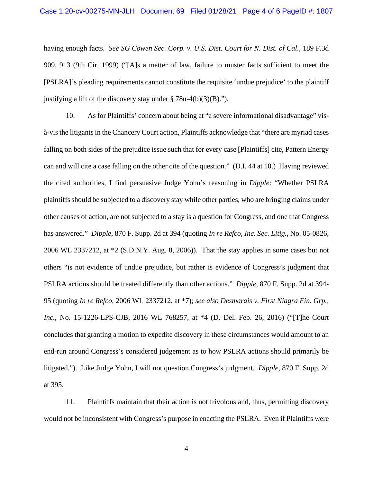having enough facts. *See SG Cowen Sec. Corp. v. U.S. Dist. Court for N. Dist. of Cal.*, 189 F.3d 909, 913 (9th Cir. 1999) ("[A]s a matter of law, failure to muster facts sufficient to meet the [PSLRA]'s pleading requirements cannot constitute the requisite 'undue prejudice' to the plaintiff justifying a lift of the discovery stay under  $\S 78u-4(b)(3)(B)$ .").

10. As for Plaintiffs' concern about being at "a severe informational disadvantage" visà-vis the litigants in the Chancery Court action, Plaintiffs acknowledge that "there are myriad cases falling on both sides of the prejudice issue such that for every case [Plaintiffs] cite, Pattern Energy can and will cite a case falling on the other cite of the question." (D.I. 44 at 10.) Having reviewed the cited authorities, I find persuasive Judge Yohn's reasoning in *Dipple*: "Whether PSLRA plaintiffs should be subjected to a discovery stay while other parties, who are bringing claims under other causes of action, are not subjected to a stay is a question for Congress, and one that Congress has answered." *Dipple*, 870 F. Supp. 2d at 394 (quoting *In re Refco, Inc. Sec. Litig.*, No. 05-0826, 2006 WL 2337212, at \*2 (S.D.N.Y. Aug. 8, 2006)). That the stay applies in some cases but not others "is not evidence of undue prejudice, but rather is evidence of Congress's judgment that PSLRA actions should be treated differently than other actions." *Dipple*, 870 F. Supp. 2d at 394- 95 (quoting *In re Refco*, 2006 WL 2337212, at \*7); *see also Desmarais v. First Niagra Fin. Grp., Inc.*, No. 15-1226-LPS-CJB, 2016 WL 768257, at \*4 (D. Del. Feb. 26, 2016) ("[T]he Court concludes that granting a motion to expedite discovery in these circumstances would amount to an end-run around Congress's considered judgement as to how PSLRA actions should primarily be litigated."). Like Judge Yohn, I will not question Congress's judgment. *Dipple*, 870 F. Supp. 2d at 395.

11. Plaintiffs maintain that their action is not frivolous and, thus, permitting discovery would not be inconsistent with Congress's purpose in enacting the PSLRA. Even if Plaintiffs were

4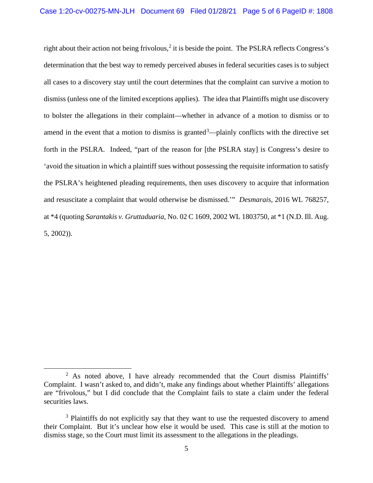right about their action not being frivolous, $2$  it is beside the point. The PSLRA reflects Congress's determination that the best way to remedy perceived abuses in federal securities cases is to subject all cases to a discovery stay until the court determines that the complaint can survive a motion to dismiss (unless one of the limited exceptions applies). The idea that Plaintiffs might use discovery to bolster the allegations in their complaint—whether in advance of a motion to dismiss or to amend in the event that a motion to dismiss is granted $3$ —plainly conflicts with the directive set forth in the PSLRA. Indeed, "part of the reason for [the PSLRA stay] is Congress's desire to 'avoid the situation in which a plaintiff sues without possessing the requisite information to satisfy the PSLRA's heightened pleading requirements, then uses discovery to acquire that information and resuscitate a complaint that would otherwise be dismissed.'" *Desmarais*, 2016 WL 768257, at \*4 (quoting *Sarantakis v. Gruttaduaria*, No. 02 C 1609, 2002 WL 1803750, at \*1 (N.D. Ill. Aug. 5, 2002)).

<span id="page-4-0"></span> $2$  As noted above, I have already recommended that the Court dismiss Plaintiffs' Complaint. I wasn't asked to, and didn't, make any findings about whether Plaintiffs' allegations are "frivolous," but I did conclude that the Complaint fails to state a claim under the federal securities laws.

<span id="page-4-1"></span><sup>&</sup>lt;sup>3</sup> Plaintiffs do not explicitly say that they want to use the requested discovery to amend their Complaint. But it's unclear how else it would be used. This case is still at the motion to dismiss stage, so the Court must limit its assessment to the allegations in the pleadings.